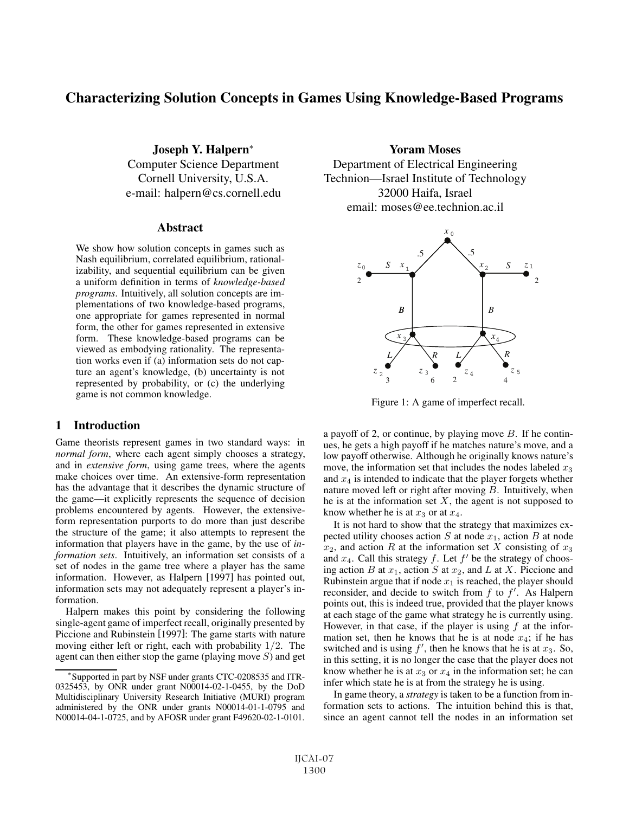# Characterizing Solution Concepts in Games Using Knowledge-Based Programs

Joseph Y. Halpern<sup>∗</sup> Computer Science Department Cornell University, U.S.A. e-mail: halpern@cs.cornell.edu

#### **Abstract**

We show how solution concepts in games such as Nash equilibrium, correlated equilibrium, rationalizability, and sequential equilibrium can be given a uniform definition in terms of *knowledge-based programs*. Intuitively, all solution concepts are implementations of two knowledge-based programs, one appropriate for games represented in normal form, the other for games represented in extensive form. These knowledge-based programs can be viewed as embodying rationality. The representation works even if (a) information sets do not capture an agent's knowledge, (b) uncertainty is not represented by probability, or (c) the underlying game is not common knowledge.

### 1 Introduction

Game theorists represent games in two standard ways: in *normal form*, where each agent simply chooses a strategy, and in *extensive form*, using game trees, where the agents make choices over time. An extensive-form representation has the advantage that it describes the dynamic structure of the game—it explicitly represents the sequence of decision problems encountered by agents. However, the extensiveform representation purports to do more than just describe the structure of the game; it also attempts to represent the information that players have in the game, by the use of *information sets*. Intuitively, an information set consists of a set of nodes in the game tree where a player has the same information. However, as Halpern [1997] has pointed out, information sets may not adequately represent a player's information.

Halpern makes this point by considering the following single-agent game of imperfect recall, originally presented by Piccione and Rubinstein [1997]: The game starts with nature moving either left or right, each with probability 1/2. The agent can then either stop the game (playing move  $S$ ) and get

Yoram Moses Department of Electrical Engineering Technion—Israel Institute of Technology 32000 Haifa, Israel email: moses@ee.technion.ac.il



Figure 1: A game of imperfect recall.

a payoff of 2, or continue, by playing move  $B$ . If he continues, he gets a high payoff if he matches nature's move, and a low payoff otherwise. Although he originally knows nature's move, the information set that includes the nodes labeled  $x_3$ and  $x_4$  is intended to indicate that the player forgets whether nature moved left or right after moving  $B$ . Intuitively, when he is at the information set  $X$ , the agent is not supposed to know whether he is at  $x_3$  or at  $x_4$ .

It is not hard to show that the strategy that maximizes expected utility chooses action  $S$  at node  $x_1$ , action  $B$  at node  $x_2$ , and action R at the information set X consisting of  $x_3$ and  $x_4$ . Call this strategy f. Let  $f'$  be the strategy of choosing action B at  $x_1$ , action S at  $x_2$ , and L at X. Piccione and Rubinstein argue that if node  $x_1$  is reached, the player should reconsider, and decide to switch from  $f$  to  $f'$ . As Halpern points out, this is indeed true, provided that the player knows at each stage of the game what strategy he is currently using. However, in that case, if the player is using  $f$  at the information set, then he knows that he is at node  $x_4$ ; if he has switched and is using  $f'$ , then he knows that he is at  $x_3$ . So, in this setting, it is no longer the case that the player does not know whether he is at  $x_3$  or  $x_4$  in the information set; he can infer which state he is at from the strategy he is using.

In game theory, a *strategy* is taken to be a function from information sets to actions. The intuition behind this is that, since an agent cannot tell the nodes in an information set

Supported in part by NSF under grants CTC-0208535 and ITR-0325453, by ONR under grant N00014-02-1-0455, by the DoD Multidisciplinary University Research Initiative (MURI) program administered by the ONR under grants N00014-01-1-0795 and N00014-04-1-0725, and by AFOSR under grant F49620-02-1-0101.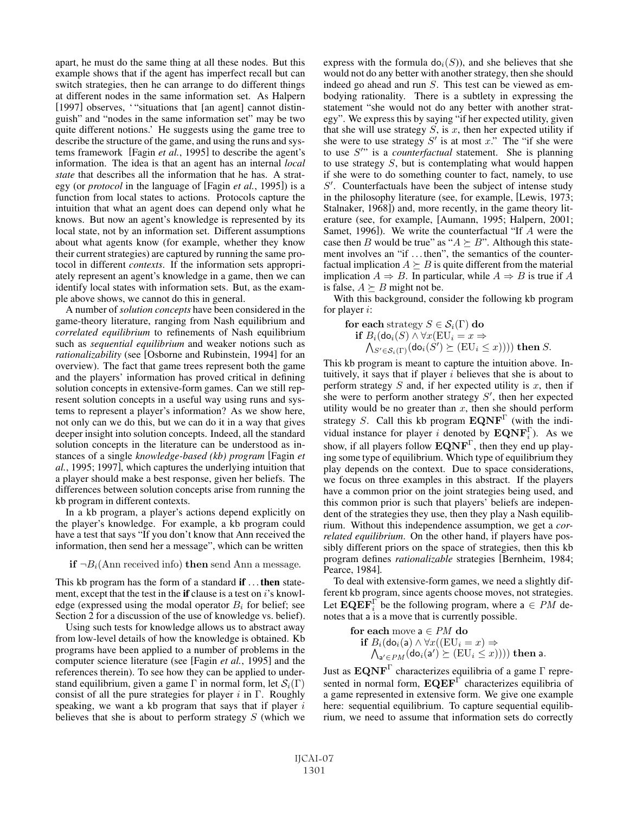apart, he must do the same thing at all these nodes. But this example shows that if the agent has imperfect recall but can switch strategies, then he can arrange to do different things at different nodes in the same information set. As Halpern [1997] observes, "situations that [an agent] cannot distinguish" and "nodes in the same information set" may be two quite different notions.' He suggests using the game tree to describe the structure of the game, and using the runs and systems framework [Fagin *et al.*, 1995] to describe the agent's information. The idea is that an agent has an internal *local state* that describes all the information that he has. A strategy (or *protocol* in the language of [Fagin *et al.*, 1995]) is a function from local states to actions. Protocols capture the intuition that what an agent does can depend only what he knows. But now an agent's knowledge is represented by its local state, not by an information set. Different assumptions about what agents know (for example, whether they know their current strategies) are captured by running the same protocol in different *contexts*. If the information sets appropriately represent an agent's knowledge in a game, then we can identify local states with information sets. But, as the example above shows, we cannot do this in general.

A number of *solution concepts* have been considered in the game-theory literature, ranging from Nash equilibrium and *correlated equilibrium* to refinements of Nash equilibrium such as *sequential equilibrium* and weaker notions such as *rationalizability* (see [Osborne and Rubinstein, 1994] for an overview). The fact that game trees represent both the game and the players' information has proved critical in defining solution concepts in extensive-form games. Can we still represent solution concepts in a useful way using runs and systems to represent a player's information? As we show here, not only can we do this, but we can do it in a way that gives deeper insight into solution concepts. Indeed, all the standard solution concepts in the literature can be understood as instances of a single *knowledge-based (kb) program* [Fagin *et al.*, 1995; 1997], which captures the underlying intuition that a player should make a best response, given her beliefs. The differences between solution concepts arise from running the kb program in different contexts.

In a kb program, a player's actions depend explicitly on the player's knowledge. For example, a kb program could have a test that says "If you don't know that Ann received the information, then send her a message", which can be written

**if**  $\neg B_i$ (Ann received info) **then** send Ann a message.

This kb program has the form of a standard **if** ...then statement, except that the test in the if clause is a test on  $i$ 's knowledge (expressed using the modal operator  $B_i$  for belief; see Section 2 for a discussion of the use of knowledge vs. belief).

Using such tests for knowledge allows us to abstract away from low-level details of how the knowledge is obtained. Kb programs have been applied to a number of problems in the computer science literature (see [Fagin *et al.*, 1995] and the references therein). To see how they can be applied to understand equilibrium, given a game Γ in normal form, let  $\mathcal{S}_i(\Gamma)$ consist of all the pure strategies for player i in Γ. Roughly speaking, we want a kb program that says that if player  $i$ believes that she is about to perform strategy  $S$  (which we express with the formula  $do<sub>i</sub>(S)$ , and she believes that she would not do any better with another strategy, then she should indeed go ahead and run S. This test can be viewed as embodying rationality. There is a subtlety in expressing the statement "she would not do any better with another strategy". We express this by saying "if her expected utility, given that she will use strategy  $S$ , is  $x$ , then her expected utility if she were to use strategy  $S'$  is at most x." The "if she were to use S'" is a *counterfactual* statement. She is planning to use strategy  $S$ , but is contemplating what would happen if she were to do something counter to fact, namely, to use  $S'$ . Counterfactuals have been the subject of intense study in the philosophy literature (see, for example, [Lewis, 1973; Stalnaker, 1968]) and, more recently, in the game theory literature (see, for example, [Aumann, 1995; Halpern, 2001; Samet, 1996]). We write the counterfactual "If A were the case then B would be true" as " $A \succeq B$ ". Although this statement involves an "if . . . then", the semantics of the counterfactual implication  $A \succeq B$  is quite different from the material implication  $A \Rightarrow B$ . In particular, while  $A \Rightarrow B$  is true if A is false,  $A \succeq B$  might not be.

With this background, consider the following kb program for player i:

**for each** strategy  $S \in \mathcal{S}_i(\Gamma)$  **do if**  $B_i(\text{do}_i(S) \land \forall x(\text{EU}_i = x \Rightarrow$  $\bigwedge_{S' \in \mathcal{S}_i(\Gamma)} (\textsf{do}_i(\hat{S}') \succeq (\text{EU}_i \leq x)))$ ) then S.

This kb program is meant to capture the intuition above. Intuitively, it says that if player  $i$  believes that she is about to perform strategy  $S$  and, if her expected utility is  $x$ , then if she were to perform another strategy  $S'$ , then her expected utility would be no greater than  $x$ , then she should perform strategy S. Call this kb program **EQNF**<sup>Γ</sup> (with the individual instance for player i denoted by  $\mathbf{EQNF}_i^{\Gamma}$ ). As we show, if all players follow **EQNF**<sup>Γ</sup>, then they end up playing some type of equilibrium. Which type of equilibrium they play depends on the context. Due to space considerations, we focus on three examples in this abstract. If the players have a common prior on the joint strategies being used, and this common prior is such that players' beliefs are independent of the strategies they use, then they play a Nash equilibrium. Without this independence assumption, we get a *correlated equilibrium*. On the other hand, if players have possibly different priors on the space of strategies, then this kb program defines *rationalizable* strategies [Bernheim, 1984; Pearce, 1984].

To deal with extensive-form games, we need a slightly different kb program, since agents choose moves, not strategies. Let  $\mathbf{EQEF}_i^{\Gamma}$  be the following program, where  $a \in PM$  denotes that a is a move that is currently possible.

**for each** move a 
$$
\in PM
$$
 **do**  
\n**if**  $B_i(\text{do}_i(\textbf{a}) \land \forall x((EU_i = x) \Rightarrow$   
\n $\bigwedge_{\textbf{a'} \in PM} (\text{do}_i(\textbf{a'}) \succeq (EU_i \leq x))))$  **then a.**

Just as **EQNF**<sup>Γ</sup> characterizes equilibria of a game Γ represented in normal form, **EQEF**<sup>Γ</sup> characterizes equilibria of a game represented in extensive form. We give one example here: sequential equilibrium. To capture sequential equilibrium, we need to assume that information sets do correctly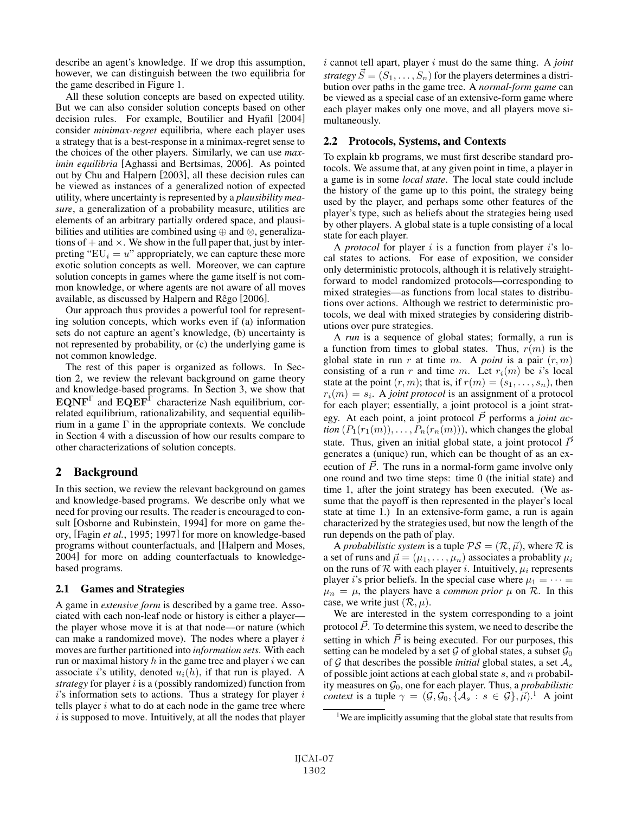describe an agent's knowledge. If we drop this assumption, however, we can distinguish between the two equilibria for the game described in Figure 1.

All these solution concepts are based on expected utility. But we can also consider solution concepts based on other decision rules. For example, Boutilier and Hyafil [2004] consider *minimax-regret* equilibria, where each player uses a strategy that is a best-response in a minimax-regret sense to the choices of the other players. Similarly, we can use *maximin equilibria* [Aghassi and Bertsimas, 2006]. As pointed out by Chu and Halpern [2003], all these decision rules can be viewed as instances of a generalized notion of expected utility, where uncertainty is represented by a *plausibility measure*, a generalization of a probability measure, utilities are elements of an arbitrary partially ordered space, and plausibilities and utilities are combined using ⊕ and ⊗, generalizations of  $+$  and  $\times$ . We show in the full paper that, just by interpreting " $EU_i = u$ " appropriately, we can capture these more exotic solution concepts as well. Moreover, we can capture solution concepts in games where the game itself is not common knowledge, or where agents are not aware of all moves available, as discussed by Halpern and Rêgo [2006].

Our approach thus provides a powerful tool for representing solution concepts, which works even if (a) information sets do not capture an agent's knowledge, (b) uncertainty is not represented by probability, or (c) the underlying game is not common knowledge.

The rest of this paper is organized as follows. In Section 2, we review the relevant background on game theory and knowledge-based programs. In Section 3, we show that **EQNF**<sup>Γ</sup> and **EQEF**<sup>Γ</sup> characterize Nash equilibrium, correlated equilibrium, rationalizability, and sequential equilibrium in a game  $\Gamma$  in the appropriate contexts. We conclude in Section 4 with a discussion of how our results compare to other characterizations of solution concepts.

## 2 Background

In this section, we review the relevant background on games and knowledge-based programs. We describe only what we need for proving our results. The reader is encouraged to consult [Osborne and Rubinstein, 1994] for more on game theory, [Fagin *et al.*, 1995; 1997] for more on knowledge-based programs without counterfactuals, and [Halpern and Moses, 2004] for more on adding counterfactuals to knowledgebased programs.

#### 2.1 Games and Strategies

A game in *extensive form* is described by a game tree. Associated with each non-leaf node or history is either a player the player whose move it is at that node—or nature (which can make a randomized move). The nodes where a player  $i$ moves are further partitioned into *information sets*. With each run or maximal history  $h$  in the game tree and player  $i$  we can associate *i*'s utility, denoted  $u_i(h)$ , if that run is played. A *strategy* for player i is a (possibly randomized) function from  $i$ 's information sets to actions. Thus a strategy for player  $i$ tells player  $i$  what to do at each node in the game tree where  $i$  is supposed to move. Intuitively, at all the nodes that player i cannot tell apart, player i must do the same thing. A *joint*  $strategy \ \vec{S} = (S_1, \ldots, S_n)$  for the players determines a distribution over paths in the game tree. A *normal-form game* can be viewed as a special case of an extensive-form game where each player makes only one move, and all players move simultaneously.

#### 2.2 Protocols, Systems, and Contexts

To explain kb programs, we must first describe standard protocols. We assume that, at any given point in time, a player in a game is in some *local state*. The local state could include the history of the game up to this point, the strategy being used by the player, and perhaps some other features of the player's type, such as beliefs about the strategies being used by other players. A global state is a tuple consisting of a local state for each player.

A *protocol* for player i is a function from player i's local states to actions. For ease of exposition, we consider only deterministic protocols, although it is relatively straightforward to model randomized protocols—corresponding to mixed strategies—as functions from local states to distributions over actions. Although we restrict to deterministic protocols, we deal with mixed strategies by considering distributions over pure strategies.

A *run* is a sequence of global states; formally, a run is a function from times to global states. Thus,  $r(m)$  is the global state in run r at time m. A *point* is a pair  $(r, m)$ consisting of a run r and time m. Let  $r_i(m)$  be i's local state at the point  $(r, m)$ ; that is, if  $r(m)=(s_1,\ldots,s_n)$ , then  $r_i(m) = s_i$ . A *joint protocol* is an assignment of a protocol for each player; essentially, a joint protocol is a joint strategy. At each point, a joint protocol  $\vec{P}$  performs a *joint action*  $(P_1(r_1(m)), \ldots, P_n(r_n(m)))$ , which changes the global state. Thus, given an initial global state, a joint protocol  $\bar{P}$ generates a (unique) run, which can be thought of as an execution of  $\vec{P}$ . The runs in a normal-form game involve only one round and two time steps: time 0 (the initial state) and time 1, after the joint strategy has been executed. (We assume that the payoff is then represented in the player's local state at time 1.) In an extensive-form game, a run is again characterized by the strategies used, but now the length of the run depends on the path of play.

A *probabilistic system* is a tuple  $\mathcal{PS} = (\mathcal{R}, \vec{\mu})$ , where  $\mathcal R$  is a set of runs and  $\vec{\mu} = (\mu_1, \dots, \mu_n)$  associates a probablity  $\mu_i$ on the runs of  $R$  with each player *i*. Intuitively,  $\mu_i$  represents player *i*'s prior beliefs. In the special case where  $\mu_1 = \cdots =$  $\mu_n = \mu$ , the players have a *common prior*  $\mu$  on  $\mathcal{R}$ . In this case, we write just  $(\mathcal{R}, \mu)$ .

We are interested in the system corresponding to a joint protocol  $\vec{P}$ . To determine this system, we need to describe the setting in which  $\vec{P}$  is being executed. For our purposes, this setting can be modeled by a set  $\mathcal G$  of global states, a subset  $\mathcal G_0$ of  $G$  that describes the possible *initial* global states, a set  $A_s$ of possible joint actions at each global state  $s$ , and  $n$  probability measures on  $\mathcal{G}_0$ , one for each player. Thus, a *probabilistic context* is a tuple  $\gamma = (\mathcal{G}, \mathcal{G}_0, \{ \mathcal{A}_s : s \in \mathcal{G} \}, \vec{\mu})$ .<sup>1</sup> A joint

<sup>&</sup>lt;sup>1</sup>We are implicitly assuming that the global state that results from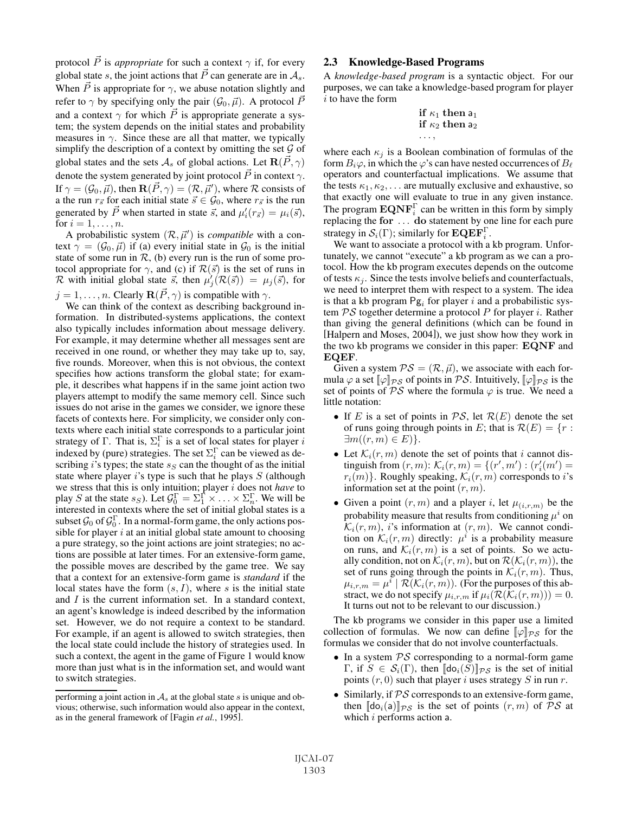protocol  $\vec{P}$  is *appropriate* for such a context  $\gamma$  if, for every global state s, the joint actions that  $\vec{P}$  can generate are in  $\mathcal{A}_s$ . When  $\vec{P}$  is appropriate for  $\gamma$ , we abuse notation slightly and refer to  $\gamma$  by specifying only the pair  $(\mathcal{G}_0, \vec{\mu})$ . A protocol  $\vec{P}$ and a context  $\gamma$  for which  $\vec{P}$  is appropriate generate a system; the system depends on the initial states and probability measures in  $\gamma$ . Since these are all that matter, we typically simplify the description of a context by omitting the set  $\mathcal G$  of global states and the sets  $\mathcal{A}_s$  of global actions. Let  $\mathbf{R}(\vec{P}, \gamma)$ denote the system generated by joint protocol  $\vec{P}$  in context  $\gamma$ . If  $\gamma = (\mathcal{G}_0, \vec{\mu})$ , then  $\mathbf{R}(\vec{P}, \gamma) = (\mathcal{R}, \vec{\mu}'),$  where  $\mathcal R$  consists of a the run  $r_{\vec{s}}$  for each initial state  $\vec{s} \in \mathcal{G}_0$ , where  $r_{\vec{s}}$  is the run generated by  $\vec{P}$  when started in state  $\vec{s}$ , and  $\mu'_i(r_{\vec{s}}) = \mu_i(\vec{s})$ , for  $i = 1, \ldots, n$ .

A probabilistic system  $(\mathcal{R}, \vec{\mu}')$  is *compatible* with a context  $\gamma = (\mathcal{G}_0, \vec{\mu})$  if (a) every initial state in  $\mathcal{G}_0$  is the initial state of some run in  $\mathcal{R}$ , (b) every run is the run of some protocol appropriate for  $\gamma$ , and (c) if  $\mathcal{R}(\vec{s})$  is the set of runs in R with initial global state  $\vec{s}$ , then  $\mu'_{j}(\mathcal{R}(\vec{s})) = \mu_{j}(\vec{s})$ , for  $j = 1, \ldots, n$ . Clearly  $\mathbf{R}(\vec{P}, \gamma)$  is compatible with  $\gamma$ .

We can think of the context as describing background information. In distributed-systems applications, the context also typically includes information about message delivery. For example, it may determine whether all messages sent are received in one round, or whether they may take up to, say, five rounds. Moreover, when this is not obvious, the context specifies how actions transform the global state; for example, it describes what happens if in the same joint action two players attempt to modify the same memory cell. Since such issues do not arise in the games we consider, we ignore these facets of contexts here. For simplicity, we consider only contexts where each initial state corresponds to a particular joint strategy of  $\Gamma$ . That is,  $\Sigma_i^{\Gamma}$  is a set of local states for player i indexed by (pure) strategies. The set  $\Sigma_i^{\Gamma}$  can be viewed as describing i's types; the state  $s_S$  can the thought of as the initial state where player is type is such that he plays  $S$  (although we stress that this is only intuition; player i does not *have* to play S at the state  $s_S$ ). Let  $\mathcal{G}_0^{\Gamma} = \Sigma_1^{\Gamma} \times \ldots \times \Sigma_n^{\Gamma}$ . We will be interested in contexts where the set of initial global states is a subset  $\mathcal{G}_0$  of  $\mathcal{G}_0^{\Gamma}$ . In a normal-form game, the only actions possible for player  $i$  at an initial global state amount to choosing a pure strategy, so the joint actions are joint strategies; no actions are possible at later times. For an extensive-form game, the possible moves are described by the game tree. We say that a context for an extensive-form game is *standard* if the local states have the form  $(s, I)$ , where s is the initial state and  $I$  is the current information set. In a standard context, an agent's knowledge is indeed described by the information set. However, we do not require a context to be standard. For example, if an agent is allowed to switch strategies, then the local state could include the history of strategies used. In such a context, the agent in the game of Figure 1 would know more than just what is in the information set, and would want to switch strategies.

#### 2.3 Knowledge-Based Programs

A *knowledge-based program* is a syntactic object. For our purposes, we can take a knowledge-based program for player i to have the form

if 
$$
\kappa_1
$$
 then  $a_1$   
if  $\kappa_2$  then  $a_2$   
...,

where each  $\kappa_j$  is a Boolean combination of formulas of the form  $B_i\varphi$ , in which the  $\varphi$ 's can have nested occurrences of  $B_\ell$ operators and counterfactual implications. We assume that the tests  $\kappa_1, \kappa_2, \ldots$  are mutually exclusive and exhaustive, so that exactly one will evaluate to true in any given instance. The program  $\mathbf{EQNF}_i^{\Gamma}$  can be written in this form by simply replacing the **for** ... **do** statement by one line for each pure strategy in  $\mathcal{S}_i(\Gamma)$ ; similarly for  $\mathbf{EQEF}_i^{\Gamma}$ .

We want to associate a protocol with a kb program. Unfortunately, we cannot "execute" a kb program as we can a protocol. How the kb program executes depends on the outcome of tests  $\kappa_i$ . Since the tests involve beliefs and counterfactuals, we need to interpret them with respect to a system. The idea is that a kb program  $\text{Pg}_i$  for player i and a probabilistic system  $PS$  together determine a protocol  $P$  for player i. Rather than giving the general definitions (which can be found in [Halpern and Moses, 2004]), we just show how they work in the two kb programs we consider in this paper: **EQNF** and **EQEF**.

Given a system  $PS = (\mathcal{R}, \vec{\mu})$ , we associate with each formula  $\varphi$  a set  $\llbracket \varphi \rrbracket_{\mathcal{PS}}$  of points in PS. Intuitively,  $\llbracket \varphi \rrbracket_{\mathcal{PS}}$  is the set of points of  $PS$  where the formula  $\varphi$  is true. We need a little notation:

- If E is a set of points in  $PS$ , let  $\mathcal{R}(E)$  denote the set of runs going through points in E; that is  $\mathcal{R}(E) = \{r :$  $\exists m((r, m) \in E)$ .
- Let  $\mathcal{K}_i(r, m)$  denote the set of points that i cannot distinguish from  $(r, m)$ :  $\mathcal{K}_i(r, m) = \{(r', m') : (r'_i(m') =$  $r_i(m)$ . Roughly speaking,  $\mathcal{K}_i(r, m)$  corresponds to i's information set at the point  $(r, m)$ .
- Given a point  $(r, m)$  and a player i, let  $\mu_{(i,r,m)}$  be the probability measure that results from conditioning  $\mu^{i}$  on  $\mathcal{K}_i(r,m)$ , i's information at  $(r, m)$ . We cannot condition on  $\mathcal{K}_i(r,m)$  directly:  $\mu^i$  is a probability measure on runs, and  $\mathcal{K}_i(r, m)$  is a set of points. So we actually condition, not on  $\mathcal{K}_i(r, m)$ , but on  $\mathcal{R}(\mathcal{K}_i(r, m))$ , the set of runs going through the points in  $\mathcal{K}_i(r, m)$ . Thus,  $\mu_{i,r,m} = \mu^i \mid \mathcal{R}(\mathcal{K}_i(r,m))$ . (For the purposes of this abstract, we do not specify  $\mu_{i,r,m}$  if  $\mu_i(\mathcal{R}(\mathcal{K}_i(r,m))) = 0$ . It turns out not to be relevant to our discussion.)

The kb programs we consider in this paper use a limited collection of formulas. We now can define  $\llbracket \varphi \rrbracket_{\mathcal{PS}}$  for the formulas we consider that do not involve counterfactuals.

- In a system  $PS$  corresponding to a normal-form game  $\Gamma$ , if  $S \in \mathcal{S}_i(\Gamma)$ , then  $[\![\mathsf{do}_i(S)]\!]_{\mathcal{PS}}$  is the set of initial points  $(r, 0)$  such that player i uses strategy S in run r.
- Similarly, if  $PS$  corresponds to an extensive-form game, then  $\llbracket \text{do}_i(\mathsf{a}) \rrbracket_{\mathcal{PS}}$  is the set of points  $(r, m)$  of  $\mathcal{PS}$  at which  $i$  performs action a.

performing a joint action in  $A_s$  at the global state s is unique and obvious; otherwise, such information would also appear in the context, as in the general framework of [Fagin *et al.*, 1995].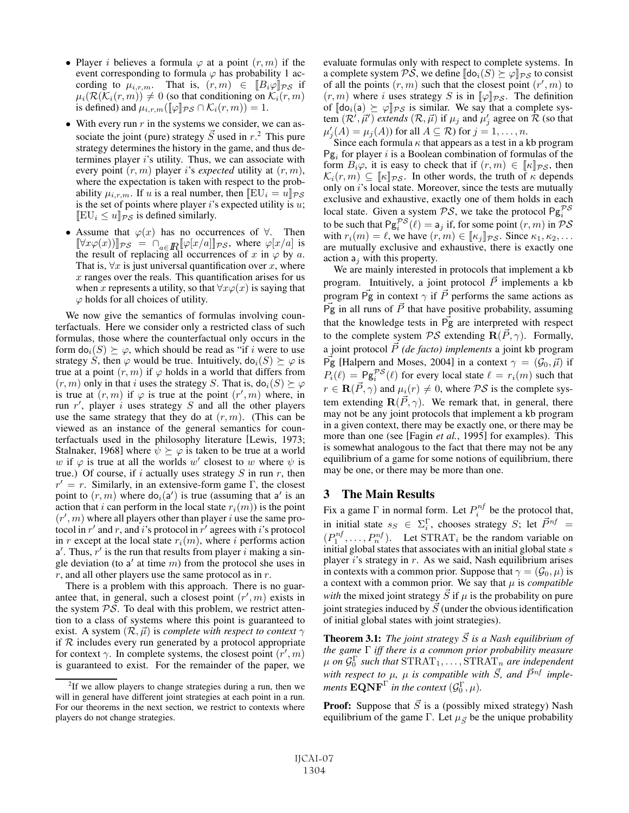- Player *i* believes a formula  $\varphi$  at a point  $(r, m)$  if the event corresponding to formula  $\varphi$  has probability 1 according to  $\mu_{i,r,m}$ . That is,  $(r, m) \in [B_i \varphi]_{\mathcal{PS}}$  if  $\mu_i(\mathcal{R}(\overline{\mathcal{K}}_i(r,m)) \neq 0$  (so that conditioning on  $\overline{\mathcal{K}}_i(r,m)$ ) is defined) and  $\mu_{i,r,m}(\llbracket \varphi \rrbracket_{\mathcal{PS}} \cap \mathcal{K}_i(r,m)) = 1.$
- With every run  $r$  in the systems we consider, we can associate the joint (pure) strategy  $\vec{S}$  used in r.<sup>2</sup> This pure strategy determines the history in the game, and thus determines player i's utility. Thus, we can associate with every point  $(r, m)$  player i's *expected* utility at  $(r, m)$ , where the expectation is taken with respect to the probability  $\mu_{i,r,m}$ . If u is a real number, then  $[EU_i = u]_{\mathcal{PS}}$ is the set of points where player  $i$ 's expected utility is  $u$ ;  $[EU_i \leq u]_{\mathcal{PS}}$  is defined similarly.
- Assume that  $\varphi(x)$  has no occurrences of  $\forall$ . Then  $[\![\forall x \varphi(x))]_{\mathcal{PS}} = \bigcap_{a \in \mathbb{R}} [\![\varphi[x/a]]_{\mathcal{PS}}$ , where  $\varphi[x/a]$  is the result of replacing all occurrences of x in  $\varphi$  by a. That is,  $\forall x$  is just universal quantification over x, where  $x$  ranges over the reals. This quantification arises for us when x represents a utility, so that  $\forall x \varphi(x)$  is saying that  $\varphi$  holds for all choices of utility.

We now give the semantics of formulas involving counterfactuals. Here we consider only a restricted class of such formulas, those where the counterfactual only occurs in the form  $do_i(S) \succeq \varphi$ , which should be read as "if i were to use strategy S, then  $\varphi$  would be true. Intuitively,  $do_i(S) \succeq \varphi$  is true at a point  $(r, m)$  if  $\varphi$  holds in a world that differs from  $(r, m)$  only in that i uses the strategy S. That is,  $do_i(S) \succeq \varphi$ is true at  $(r, m)$  if  $\varphi$  is true at the point  $(r', m)$  where, in run  $r'$ , player i uses strategy S and all the other players use the same strategy that they do at  $(r, m)$ . (This can be viewed as an instance of the general semantics for counterfactuals used in the philosophy literature [Lewis, 1973; Stalnaker, 1968] where  $\psi \succeq \varphi$  is taken to be true at a world w if  $\varphi$  is true at all the worlds w' closest to w where  $\psi$  is true.) Of course, if i actually uses strategy  $S$  in run  $r$ , then  $r' = r$ . Similarly, in an extensive-form game Γ, the closest point to  $(r, m)$  where  $do_i(a')$  is true (assuming that a' is an action that i can perform in the local state  $r_i(m)$ ) is the point  $(r', m)$  where all players other than player i use the same protocol in  $r'$  and  $r$ , and i's protocol in  $r'$  agrees with i's protocol in r except at the local state  $r_i(m)$ , where i performs action  $a'$ . Thus,  $r'$  is the run that results from player i making a single deviation (to  $a'$  at time m) from the protocol she uses in  $r$ , and all other players use the same protocol as in  $r$ .

There is a problem with this approach. There is no guarantee that, in general, such a closest point  $(r', m)$  exists in the system  $PS$ . To deal with this problem, we restrict attention to a class of systems where this point is guaranteed to exist. A system  $(R, \vec{\mu})$  is *complete with respect to context*  $\gamma$ if  $R$  includes every run generated by a protocol appropriate for context  $\gamma$ . In complete systems, the closest point  $(\hat{r}', m)$ is guaranteed to exist. For the remainder of the paper, we evaluate formulas only with respect to complete systems. In a complete system  $\mathcal{PS},$  we define  $[\![\textsf{do}_i(S) \succeq \varphi ]\!]_{\mathcal{PS}}$  to consist of all the points  $(r, m)$  such that the closest point  $(r', m)$  to  $(r, m)$  where i uses strategy S is in  $[\varphi]_{\mathcal{PS}}$ . The definition of  $[\![do_i(a) \succeq \varphi ]\!]_{\mathcal{PS}}$  is similar. We say that a complete system  $(\mathcal{R}', \vec{\mu}')$  *extends*  $(\mathcal{R}, \vec{\mu})$  if  $\mu_j$  and  $\mu'_j$  agree on  $\mathcal{R}$  (so that  $\mu'_j(A) = \mu_j(A)$ ) for all  $A \subseteq \mathcal{R}$ ) for  $j = 1, \ldots, n$ .

Since each formula  $\kappa$  that appears as a test in a kb program  $\text{Pg}_i$  for player i is a Boolean combination of formulas of the form  $B_i\varphi$ , it is easy to check that if  $(r, m) \in [\![\kappa]\!]_{\mathcal{PS}}$ , then  $\mathcal{K}_i(r,m) \subseteq [\![\kappa]\!]_{\mathcal{PS}}$ . In other words, the truth of  $\kappa$  depends only on i's local state. Moreover, since the tests are mutually exclusive and exhaustive, exactly one of them holds in each local state. Given a system  $PS$ , we take the protocol  $\mathsf{Pg}^{PS}_i$ to be such that  $\mathsf{Pg}^{\mathcal{PS}}_i(\ell) = \mathsf{a}_j$  if, for some point  $(r, m)$  in  $\mathcal{PS}$ with  $r_i(m) = \ell$ , we have  $(r, m) \in [\![\kappa_j]\!]_{\mathcal{PS}}$ . Since  $\kappa_1, \kappa_2, \ldots$ are mutually exclusive and exhaustive, there is exactly one action  $a_j$  with this property.

We are mainly interested in protocols that implement a kb program. Intuitively, a joint protocol  $\vec{P}$  implements a kb program  $\vec{Pg}$  in context  $\gamma$  if  $\vec{P}$  performs the same actions as  $\vec{Pg}$  in all runs of  $\vec{P}$  that have positive probability, assuming that the knowledge tests in  $\vec{P}$ g are interpreted with respect to the complete system  $\mathcal{PS}$  extending  $\mathbf{R}(\vec{P}, \gamma)$ . Formally, a joint protocol  $\vec{P}$  *(de facto) implements* a joint kb program  $\vec{Pg}$  [Halpern and Moses, 2004] in a context  $\gamma = (\mathcal{G}_0, \vec{\mu})$  if  $P_i(\ell) = \mathsf{Pg}_i^{\mathcal{PS}}(\ell)$  for every local state  $\ell = r_i(m)$  such that  $r \in \mathbf{R}(\vec{P}, \gamma)$  and  $\mu_i(r) \neq 0$ , where  $\mathcal{PS}$  is the complete system extending  $\mathbf{R}(\vec{P}, \gamma)$ . We remark that, in general, there may not be any joint protocols that implement a kb program in a given context, there may be exactly one, or there may be more than one (see [Fagin *et al.*, 1995] for examples). This is somewhat analogous to the fact that there may not be any equilibrium of a game for some notions of equilibrium, there may be one, or there may be more than one.

# 3 The Main Results

Fix a game  $\Gamma$  in normal form. Let  $P_i^{nf}$  be the protocol that, in initial state  $s_S \in \Sigma_i^{\Gamma}$ , chooses strategy S; let  $\vec{P}^{nf}$  =  $(P_1^{nf}, \ldots, P_n^{nf}).$  Let  $\text{STRAT}_i$  be the random variable on initial global states that associates with an initial global state  $s$ player i's strategy in  $r$ . As we said, Nash equilibrium arises in contexts with a common prior. Suppose that  $\gamma = (\mathcal{G}_0, \mu)$  is a context with a common prior. We say that  $\mu$  is *compatible with* the mixed joint strategy  $\vec{S}$  if  $\mu$  is the probability on pure joint strategies induced by  $\vec{S}$  (under the obvious identification of initial global states with joint strategies).

**Theorem 3.1:** The joint strategy  $\vec{S}$  is a Nash equilibrium of *the game* Γ *iff there is a common prior probability measure*  $\mu$  on  $\mathcal{G}_0^{\Gamma}$  such that  $\mathrm{STRAT}_1,\ldots,\mathrm{STRAT}_n$  are independent with respect to  $\mu$ ,  $\mu$  is compatible with  $\vec{S}$ , and  $\vec{P}^{nf}$  imple*ments*  $\mathbf{EQNF}^{\Gamma}$  *in the context*  $(\mathcal{G}_0^{\Gamma}, \mu)$ *.* 

**Proof:** Suppose that  $\vec{S}$  is a (possibly mixed strategy) Nash equilibrium of the game  $\Gamma$ . Let  $\mu_{\vec{S}}$  be the unique probability

<sup>&</sup>lt;sup>2</sup>If we allow players to change strategies during a run, then we will in general have different joint strategies at each point in a run. For our theorems in the next section, we restrict to contexts where players do not change strategies.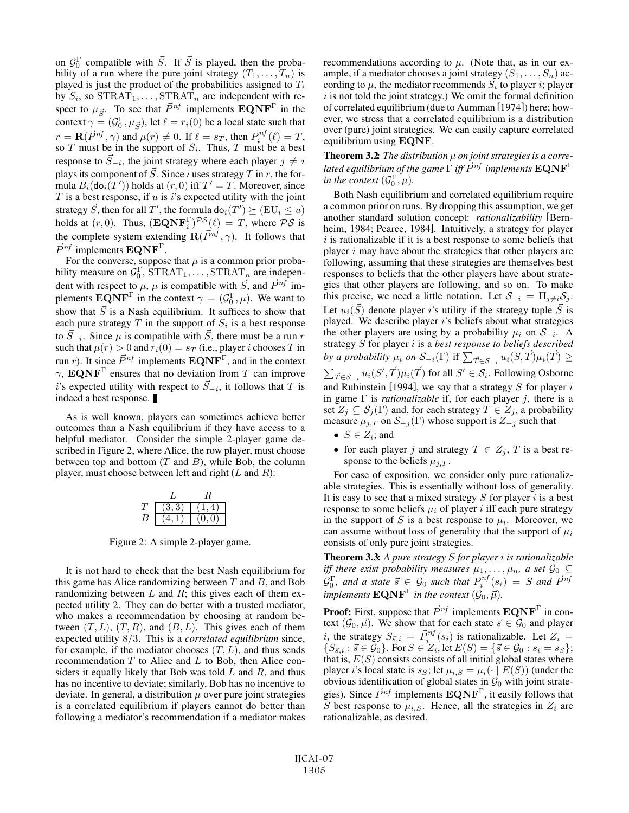on  $\mathcal{G}_0^{\Gamma}$  compatible with  $\vec{S}$ . If  $\vec{S}$  is played, then the probability of a run where the pure joint strategy  $(T_1, \ldots, T_n)$  is played is just the product of the probabilities assigned to  $T_i$ by  $S_i$ , so  $\text{STRAT}_1, \ldots, \text{STRAT}_n$  are independent with respect to  $\mu_{\vec{S}}$ . To see that  $\vec{P}^{nf}$  implements  $\mathbf{EQNF}^{\Gamma}$  in the context  $\gamma = (\mathcal{G}_0^{\Gamma}, \mu_{\vec{S}})$ , let  $\ell = r_i(0)$  be a local state such that  $r = \mathbf{R}(\vec{P}^{nf}, \gamma)$  and  $\mu(r) \neq 0$ . If  $\ell = s_T$ , then  $P_i^{nf}(\ell) = T$ , so  $T$  must be in the support of  $S_i$ . Thus,  $T$  must be a best response to  $\vec{S}_{-i}$ , the joint strategy where each player  $j \neq i$ plays its component of  $\vec{S}$ . Since i uses strategy  $T$  in  $r$ , the formula  $B_i(\text{do}_i(T'))$  holds at  $(r, 0)$  iff  $T' = T$ . Moreover, since  $T$  is a best response, if  $u$  is  $i$ 's expected utility with the joint strategy  $\vec{S}$ , then for all  $T'$ , the formula do $_i(T')\succeq (\text{EU}_i\leq u)$ holds at  $(r, 0)$ . Thus,  $(\mathbf{EQNF}_i^{\Gamma})^{\mathcal{PS}}(\ell) = T$ , where  $\mathcal{PS}$  is the complete system extending  $\mathbf{R}(\vec{P}^{nf}, \gamma)$ . It follows that  $\vec{P}^{nf}$  implements  $\mathbf{EQNF}^{\Gamma}$ .

For the converse, suppose that  $\mu$  is a common prior probability measure on  $\mathcal{G}_0^{\Gamma}$ ,  $\text{STRAT}_1, \ldots, \text{STRAT}_n$  are independent with respect to  $\mu$ ,  $\mu$  is compatible with  $\vec{S}$ , and  $\vec{P}^{nf}$  implements  $\mathbf{EQNF}^{\Gamma}$  in the context  $\gamma = (\mathcal{G}_0^{\Gamma}, \mu)$ . We want to show that  $\vec{S}$  is a Nash equilibrium. It suffices to show that each pure strategy  $T$  in the support of  $S_i$  is a best response to  $\vec{S}_{-i}$ . Since  $\mu$  is compatible with  $\vec{S}$ , there must be a run r such that  $\mu(r) > 0$  and  $r_i(0) = s_T$  (i.e., player *i* chooses T in run *r*). It since  $\vec{P}^{nf}$  implements  $\mathbf{EQNF}^{\Gamma}$ , and in the context  $\gamma$ , **EQNF**<sup> $\Gamma$ </sup> ensures that no deviation from T can improve i's expected utility with respect to  $\vec{S}_{-i}$ , it follows that T is indeed a best response.

As is well known, players can sometimes achieve better outcomes than a Nash equilibrium if they have access to a helpful mediator. Consider the simple 2-player game described in Figure 2, where Alice, the row player, must choose between top and bottom  $(T \text{ and } B)$ , while Bob, the column player, must choose between left and right  $(L \text{ and } R)$ :

|   | ાર ર |        |
|---|------|--------|
| ◡ |      | (0, 0) |

Figure 2: A simple 2-player game.

It is not hard to check that the best Nash equilibrium for this game has Alice randomizing between  $T$  and  $B$ , and Bob randomizing between  $L$  and  $R$ ; this gives each of them expected utility 2. They can do better with a trusted mediator, who makes a recommendation by choosing at random between  $(T, L)$ ,  $(T, R)$ , and  $(B, L)$ . This gives each of them expected utility 8/3. This is a *correlated equilibrium* since, for example, if the mediator chooses  $(T, L)$ , and thus sends recommendation  $T$  to Alice and  $L$  to Bob, then Alice considers it equally likely that Bob was told  $L$  and  $R$ , and thus has no incentive to deviate; similarly, Bob has no incentive to deviate. In general, a distribution  $\mu$  over pure joint strategies is a correlated equilibrium if players cannot do better than following a mediator's recommendation if a mediator makes recommendations according to  $\mu$ . (Note that, as in our example, if a mediator chooses a joint strategy  $(S_1, \ldots, S_n)$  according to  $\mu$ , the mediator recommends  $S_i$  to player *i*; player  $i$  is not told the joint strategy.) We omit the formal definition of correlated equilibrium (due to Aumman [1974]) here; however, we stress that a correlated equilibrium is a distribution over (pure) joint strategies. We can easily capture correlated equilibrium using **EQNF**.

Theorem 3.2: *The distribution* μ *on joint strategies is a corre*lated equilibrium of the game  $\Gamma$  iff  $\vec{P}^{nf}$  implements  $\mathbf{EQNF}^{\Gamma}$ *in the context*  $(\mathcal{G}_0^{\Gamma}, \mu)$ *.* 

Both Nash equilibrium and correlated equilibrium require a common prior on runs. By dropping this assumption, we get another standard solution concept: *rationalizability* [Bernheim, 1984; Pearce, 1984]. Intuitively, a strategy for player  $i$  is rationalizable if it is a best response to some beliefs that player  $i$  may have about the strategies that other players are following, assuming that these strategies are themselves best responses to beliefs that the other players have about strategies that other players are following, and so on. To make this precise, we need a little notation. Let  $S_{-i} = \prod_{j \neq i} S_j$ . Let  $u_i(\vec{S})$  denote player *i*'s utility if the strategy tuple  $\vec{S}$  is played. We describe player  $i$ 's beliefs about what strategies the other players are using by a probability  $\mu_i$  on  $S_{-i}$ . A strategy S for player i is a *best response to beliefs described* by a probability  $\mu_i$  on  $\mathcal{S}_{-i}(\Gamma)$  if  $\sum_{\vec{T} \in \mathcal{S}_{-i}} u_i(S, \vec{T}) \mu_i(\vec{T}) \geq$  $\sum_{\vec{T} \in \mathcal{S}_{-i}} u_i(S', \vec{T}) \mu_i(\vec{T})$  for all  $S' \in \mathcal{S}_i$ . Following Osborne and Rubinstein [1994], we say that a strategy  $S$  for player  $i$ in game Γ is *rationalizable* if, for each player j, there is a set  $Z_j \subseteq S_j(\Gamma)$  and, for each strategy  $T \in Z_j$ , a probability measure  $\mu_{j,T}$  on  $S_{-j}(\Gamma)$  whose support is  $Z_{-j}$  such that

- $S \in Z_i$ ; and
- for each player j and strategy  $T \in Z_j$ , T is a best response to the beliefs  $\mu_{j,T}$ .

For ease of exposition, we consider only pure rationalizable strategies. This is essentially without loss of generality. It is easy to see that a mixed strategy  $S$  for player i is a best response to some beliefs  $\mu_i$  of player i iff each pure strategy in the support of S is a best response to  $\mu_i$ . Moreover, we can assume without loss of generality that the support of  $\mu_i$ consists of only pure joint strategies.

Theorem 3.3: *A pure strategy* S *for player* i *is rationalizable iff there exist probability measures*  $\mu_1, \ldots, \mu_n$ , a set  $\mathcal{G}_0 \subseteq$  $\mathcal{G}_0^{\Gamma}$ , and a state  $\vec{s} \in \mathcal{G}_0$  such that  $P_i^{nf}(s_i) = S$  and  $\vec{P}^{nf}$ *implements*  $\mathbf{EQNF}^{\Gamma}$  *in the context*  $(\mathcal{G}_0, \vec{\mu})$ *.* 

**Proof:** First, suppose that  $\vec{P}^{nf}$  implements  $\mathbf{EQNF}^{\Gamma}$  in context  $(\mathcal{G}_0, \vec{\mu})$ . We show that for each state  $\vec{s} \in \mathcal{G}_0$  and player *i*, the strategy  $S_{\vec{s},i} = \vec{P}_i^{nf}(s_i)$  is rationalizable. Let  $Z_i =$  $\{S_{\vec{s},i} : \vec{s} \in \mathcal{G}_0\}$ . For  $S \in Z_i$ , let  $E(S) = \{\vec{s} \in \mathcal{G}_0 : s_i = s_S\};$ that is,  $E(S)$  consists consists of all initial global states where player i's local state is  $s_S$ ; let  $\mu_{i,S} = \mu_i(\cdot | E(S))$  (under the obvious identification of global states in  $\mathcal{G}_0$  with joint strategies). Since  $\vec{P}^{nf}$  implements  $\mathbf{EQNF}^{\Gamma}$ , it easily follows that S best response to  $\mu_{i,S}$ . Hence, all the strategies in  $Z_i$  are rationalizable, as desired.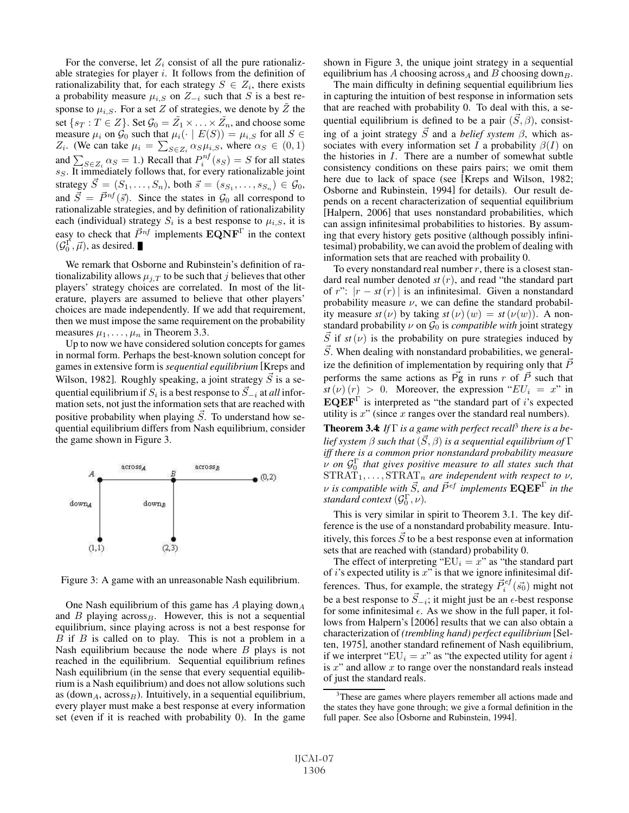For the converse, let  $Z_i$  consist of all the pure rationalizable strategies for player  $i$ . It follows from the definition of rationalizability that, for each strategy  $S \in Z_i$ , there exists a probability measure  $\mu_{i,S}$  on  $Z_{-i}$  such that S is a best response to  $\mu_{i,S}$ . For a set Z of strategies, we denote by  $\tilde{Z}$  the set  $\{s_T : T \in Z\}$ . Set  $\mathcal{G}_0 = \tilde{Z_1} \times \ldots \times \tilde{Z_n}$ , and choose some measure  $\mu_i$  on  $\mathcal{G}_0$  such that  $\mu_i(\cdot \mid E(S)) = \mu_{i,S}$  for all  $S \in$  $Z_i$ . (We can take  $\mu_i = \sum_{S \in Z_i} \alpha_S \mu_{i,S}$ , where  $\alpha_S \in (0,1)$ and  $\sum_{S \in Z_i} \alpha_S = 1$ .) Recall that  $P_i^{nf}(s_S) = S$  for all states  $s_S$ . It immediately follows that, for every rationalizable joint strategy  $\vec{S} = (S_1, \ldots, S_n)$ , both  $\vec{s} = (s_{S_1}, \ldots, s_{S_n}) \in \mathcal{G}_0$ , and  $\vec{S} = \vec{P}^{nf}(\vec{s})$ . Since the states in  $\mathcal{G}_0$  all correspond to rationalizable strategies, and by definition of rationalizability each (individual) strategy  $S_i$  is a best response to  $\mu_{i,S}$ , it is easy to check that  $\vec{P}^{nf}$  implements  $\mathbf{EQNF}^{\Gamma}$  in the context  $(\mathcal{G}_0^{\Gamma}, \vec{\mu})$ , as desired.

We remark that Osborne and Rubinstein's definition of rationalizability allows  $\mu_{i,T}$  to be such that j believes that other players' strategy choices are correlated. In most of the literature, players are assumed to believe that other players' choices are made independently. If we add that requirement, then we must impose the same requirement on the probability measures  $\mu_1, \ldots, \mu_n$  in Theorem 3.3.

Up to now we have considered solution concepts for games in normal form. Perhaps the best-known solution concept for games in extensive form is *sequential equilibrium* [Kreps and Wilson, 1982]. Roughly speaking, a joint strategy  $\vec{S}$  is a sequential equilibrium if  $S_i$  is a best response to  $\vec{S}_{-i}$  at  $all$  information sets, not just the information sets that are reached with positive probability when playing  $\vec{S}$ . To understand how sequential equilibrium differs from Nash equilibrium, consider the game shown in Figure 3.



Figure 3: A game with an unreasonable Nash equilibrium.

One Nash equilibrium of this game has  $A$  playing down $_A$ and B playing  $across_B$ . However, this is not a sequential equilibrium, since playing across is not a best response for  $B$  if  $B$  is called on to play. This is not a problem in a Nash equilibrium because the node where  $B$  plays is not reached in the equilibrium. Sequential equilibrium refines Nash equilibrium (in the sense that every sequential equilibrium is a Nash equilibrium) and does not allow solutions such as (down<sub>A</sub>, across<sub>B</sub>). Intuitively, in a sequential equilibrium, every player must make a best response at every information set (even if it is reached with probability 0). In the game shown in Figure 3, the unique joint strategy in a sequential equilibrium has A choosing across<sub>A</sub> and B choosing down<sub>B</sub>.

The main difficulty in defining sequential equilibrium lies in capturing the intuition of best response in information sets that are reached with probability 0. To deal with this, a sequential equilibrium is defined to be a pair  $(\vec{S}, \beta)$ , consisting of a joint strategy  $\vec{S}$  and a *belief system*  $\beta$ , which associates with every information set I a probability  $\beta(I)$  on the histories in I. There are a number of somewhat subtle consistency conditions on these pairs pairs; we omit them here due to lack of space (see [Kreps and Wilson, 1982; Osborne and Rubinstein, 1994] for details). Our result depends on a recent characterization of sequential equilibrium [Halpern, 2006] that uses nonstandard probabilities, which can assign infinitesimal probabilities to histories. By assuming that every history gets positive (although possibly infinitesimal) probability, we can avoid the problem of dealing with information sets that are reached with probaility 0.

To every nonstandard real number  $r$ , there is a closest standard real number denoted *st*(r), and read "the standard part of r":  $|r - st(r)|$  is an infinitesimal. Given a nonstandard probability measure  $\nu$ , we can define the standard probability measure  $st(\nu)$  by taking  $st(\nu)$   $(w) = st(\nu(w))$ . A nonstandard probability  $\nu$  on  $\mathcal{G}_0$  is *compatible with* joint strategy  $\vec{S}$  if  $st(\nu)$  is the probability on pure strategies induced by  $\vec{S}$ . When dealing with nonstandard probabilities, we generalize the definition of implementation by requiring only that  $\bar{P}$ performs the same actions as  $\vec{P}$ g in runs r of  $\vec{P}$  such that  $st(\nu)(r) > 0$ . Moreover, the expression " $EU_i = x$ " in  $\mathbf{EQEF}^{\Gamma}$  is interpreted as "the standard part of i's expected utility is  $x$ " (since  $x$  ranges over the standard real numbers).

Theorem 3.4: *If* Γ *is a game with perfect recall*<sup>3</sup> *there is a be*lief system  $\beta$  such that  $(\vec{S},\beta)$  is a sequential equilibrium of  $\Gamma$ *iff there is a common prior nonstandard probability measure*  $\tilde{\nu}$  on  $\mathcal{G}_0^{\Gamma}$  that gives positive measure to all states such that  $\text{STRAT}_1, \ldots, \text{STRAT}_n$  *are independent with respect to v*,  $\nu$  is compatible with  $\vec{S}$ , and  $\vec{P}^{ef}$  implements  $\mathbf{EQEF}^{\Gamma}$  in the *standard context*  $(\mathcal{G}_0^{\Gamma}, \nu)$ *.* 

This is very similar in spirit to Theorem 3.1. The key difference is the use of a nonstandard probability measure. Intuitively, this forces  $\vec{S}$  to be a best response even at information sets that are reached with (standard) probability 0.

The effect of interpreting " $EU_i = x$ " as "the standard part of  $i$ 's expected utility is  $x$ " is that we ignore infinitesimal differences. Thus, for example, the strategy  $\vec{P}_{i}^{ef}(\vec{s_0})$  might not be a best response to  $\vec{S}_{-i}$ ; it might just be an  $\epsilon$ -best response for some infinitesimal  $\epsilon$ . As we show in the full paper, it follows from Halpern's [2006] results that we can also obtain a characterization of *(trembling hand) perfect equilibrium* [Selten, 1975], another standard refinement of Nash equilibrium, if we interpret " $EU_i = x$ " as "the expected utility for agent i is  $x^{\prime\prime}$  and allow  $x$  to range over the nonstandard reals instead of just the standard reals.

<sup>&</sup>lt;sup>3</sup>These are games where players remember all actions made and the states they have gone through; we give a formal definition in the full paper. See also [Osborne and Rubinstein, 1994].